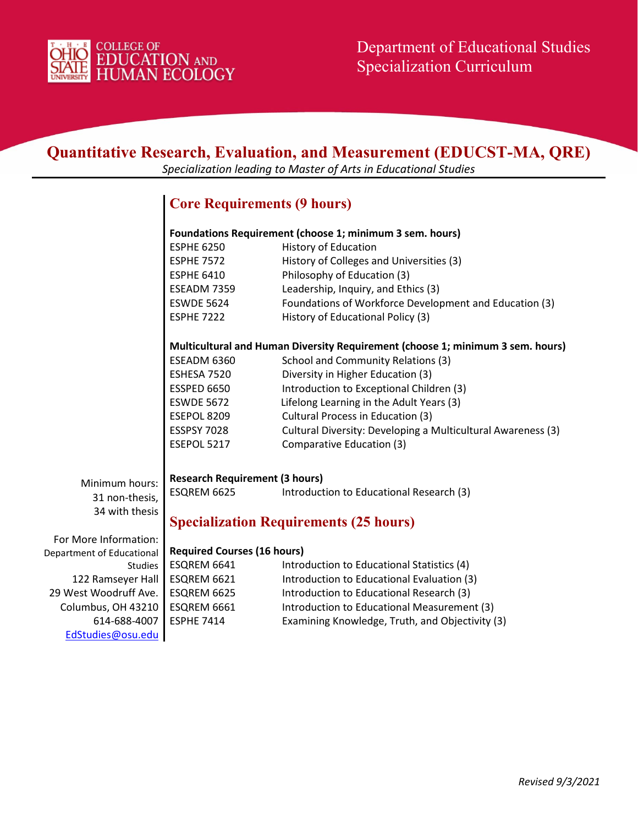

| <b>Quantitative Research, Evaluation, and Measurement (EDUCST-MA, QRE)</b><br>Specialization leading to Master of Arts in Educational Studies |                                                                                |                                                              |  |  |
|-----------------------------------------------------------------------------------------------------------------------------------------------|--------------------------------------------------------------------------------|--------------------------------------------------------------|--|--|
|                                                                                                                                               | <b>Core Requirements (9 hours)</b>                                             |                                                              |  |  |
|                                                                                                                                               | Foundations Requirement (choose 1; minimum 3 sem. hours)                       |                                                              |  |  |
|                                                                                                                                               | <b>ESPHE 6250</b>                                                              | <b>History of Education</b>                                  |  |  |
|                                                                                                                                               | <b>ESPHE 7572</b>                                                              | History of Colleges and Universities (3)                     |  |  |
|                                                                                                                                               | <b>ESPHE 6410</b>                                                              | Philosophy of Education (3)                                  |  |  |
|                                                                                                                                               | ESEADM 7359                                                                    | Leadership, Inquiry, and Ethics (3)                          |  |  |
|                                                                                                                                               | <b>ESWDE 5624</b>                                                              | Foundations of Workforce Development and Education (3)       |  |  |
|                                                                                                                                               | <b>ESPHE 7222</b>                                                              | History of Educational Policy (3)                            |  |  |
|                                                                                                                                               | Multicultural and Human Diversity Requirement (choose 1; minimum 3 sem. hours) |                                                              |  |  |
|                                                                                                                                               | ESEADM 6360                                                                    | School and Community Relations (3)                           |  |  |
|                                                                                                                                               | ESHESA 7520                                                                    | Diversity in Higher Education (3)                            |  |  |
|                                                                                                                                               | ESSPED 6650                                                                    | Introduction to Exceptional Children (3)                     |  |  |
|                                                                                                                                               | <b>ESWDE 5672</b>                                                              | Lifelong Learning in the Adult Years (3)                     |  |  |
|                                                                                                                                               | ESEPOL 8209                                                                    | Cultural Process in Education (3)                            |  |  |
|                                                                                                                                               | <b>ESSPSY 7028</b>                                                             | Cultural Diversity: Developing a Multicultural Awareness (3) |  |  |
|                                                                                                                                               | ESEPOL 5217                                                                    | Comparative Education (3)                                    |  |  |
|                                                                                                                                               | <b>Research Requirement (3 hours)</b>                                          |                                                              |  |  |
| Minimum hours:<br>31 non-thesis,                                                                                                              | ESQREM 6625                                                                    | Introduction to Educational Research (3)                     |  |  |
| 34 with thesis                                                                                                                                |                                                                                | <b>Specialization Requirements (25 hours)</b>                |  |  |
| For More Information:                                                                                                                         |                                                                                |                                                              |  |  |
| Department of Educational                                                                                                                     | <b>Required Courses (16 hours)</b>                                             |                                                              |  |  |
| Studies                                                                                                                                       | ESQREM 6641                                                                    | Introduction to Educational Statistics (4)                   |  |  |
| 122 Ramseyer Hall                                                                                                                             | ESQREM 6621                                                                    | Introduction to Educational Evaluation (3)                   |  |  |
| 29 West Woodruff Ave.                                                                                                                         | ESQREM 6625                                                                    | Introduction to Educational Research (3)                     |  |  |
| Columbus, OH 43210                                                                                                                            | ESQREM 6661                                                                    | Introduction to Educational Measurement (3)                  |  |  |
| 614-688-4007                                                                                                                                  | <b>ESPHE 7414</b>                                                              | Examining Knowledge, Truth, and Objectivity (3)              |  |  |
| EdStudies@osu.edu                                                                                                                             |                                                                                |                                                              |  |  |